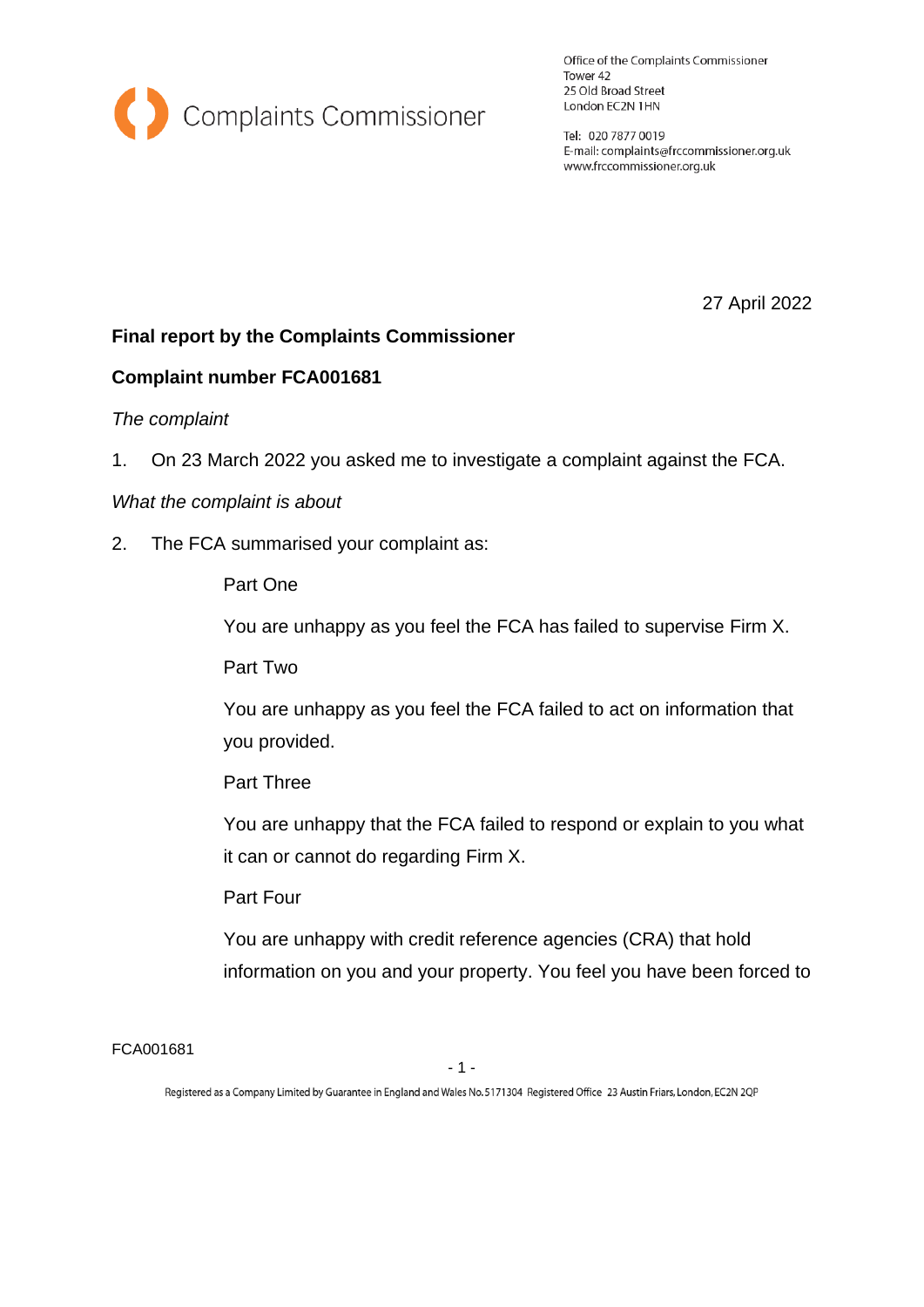

Office of the Complaints Commissioner Tower 42 25 Old Broad Street London EC2N 1HN

Tel: 020 7877 0019 E-mail: complaints@frccommissioner.org.uk www.frccommissioner.org.uk

27 April 2022

# **Final report by the Complaints Commissioner**

## **Complaint number FCA001681**

#### *The complaint*

1. On 23 March 2022 you asked me to investigate a complaint against the FCA.

### *What the complaint is about*

2. The FCA summarised your complaint as:

## Part One

You are unhappy as you feel the FCA has failed to supervise Firm X.

Part Two

You are unhappy as you feel the FCA failed to act on information that you provided.

Part Three

You are unhappy that the FCA failed to respond or explain to you what it can or cannot do regarding Firm X.

### Part Four

You are unhappy with credit reference agencies (CRA) that hold information on you and your property. You feel you have been forced to

FCA001681

Registered as a Company Limited by Guarantee in England and Wales No. 5171304 Registered Office 23 Austin Friars, London, EC2N 2QP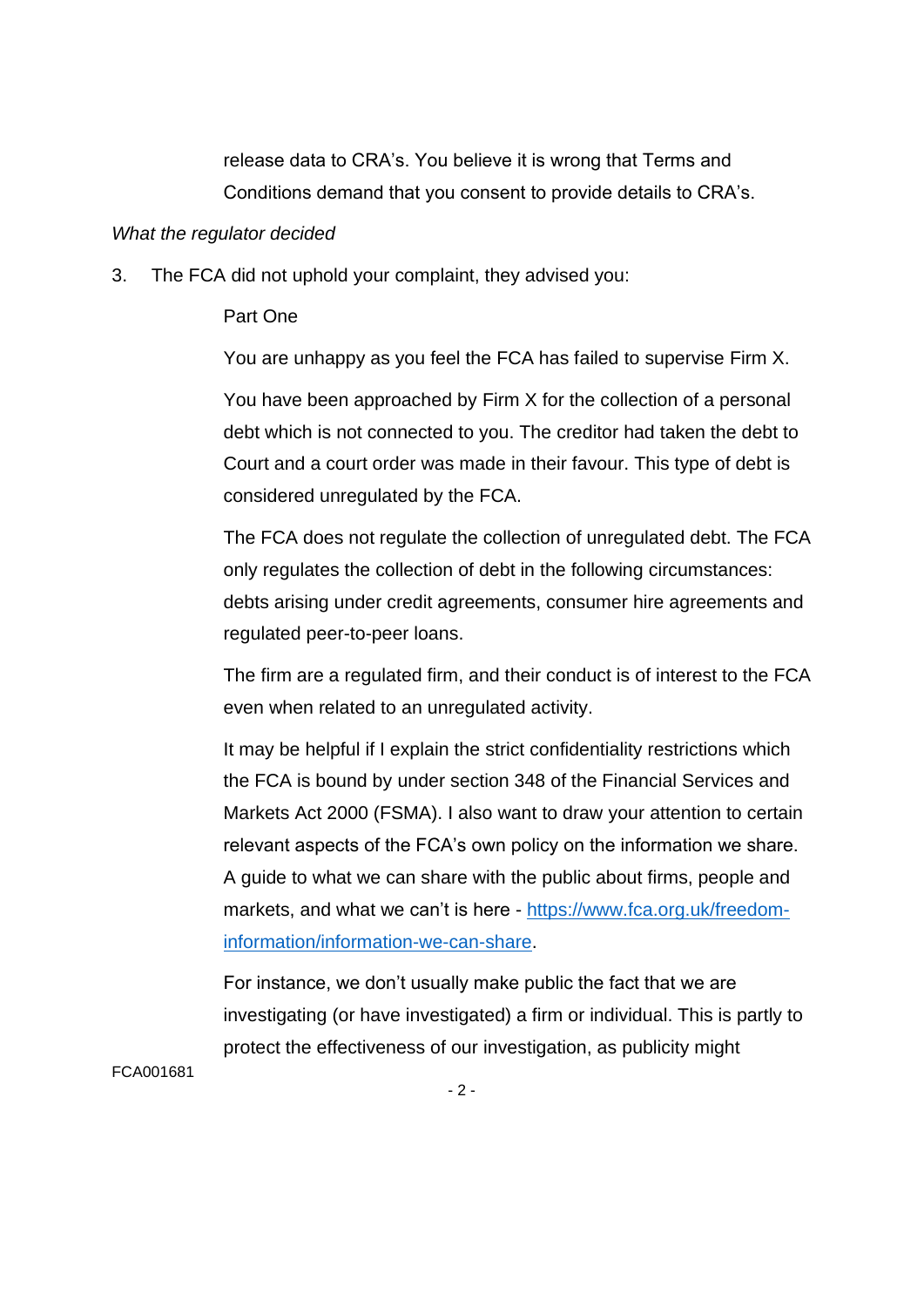release data to CRA's. You believe it is wrong that Terms and Conditions demand that you consent to provide details to CRA's.

## *What the regulator decided*

3. The FCA did not uphold your complaint, they advised you:

## Part One

You are unhappy as you feel the FCA has failed to supervise Firm X.

You have been approached by Firm X for the collection of a personal debt which is not connected to you. The creditor had taken the debt to Court and a court order was made in their favour. This type of debt is considered unregulated by the FCA.

The FCA does not regulate the collection of unregulated debt. The FCA only regulates the collection of debt in the following circumstances: debts arising under credit agreements, consumer hire agreements and regulated peer-to-peer loans.

The firm are a regulated firm, and their conduct is of interest to the FCA even when related to an unregulated activity.

It may be helpful if I explain the strict confidentiality restrictions which the FCA is bound by under section 348 of the Financial Services and Markets Act 2000 (FSMA). I also want to draw your attention to certain relevant aspects of the FCA's own policy on the information we share. A guide to what we can share with the public about firms, people and markets, and what we can't is here - [https://www.fca.org.uk/freedom](https://www.fca.org.uk/freedom-information/information-we-can-share)[information/information-we-can-share.](https://www.fca.org.uk/freedom-information/information-we-can-share)

For instance, we don't usually make public the fact that we are investigating (or have investigated) a firm or individual. This is partly to protect the effectiveness of our investigation, as publicity might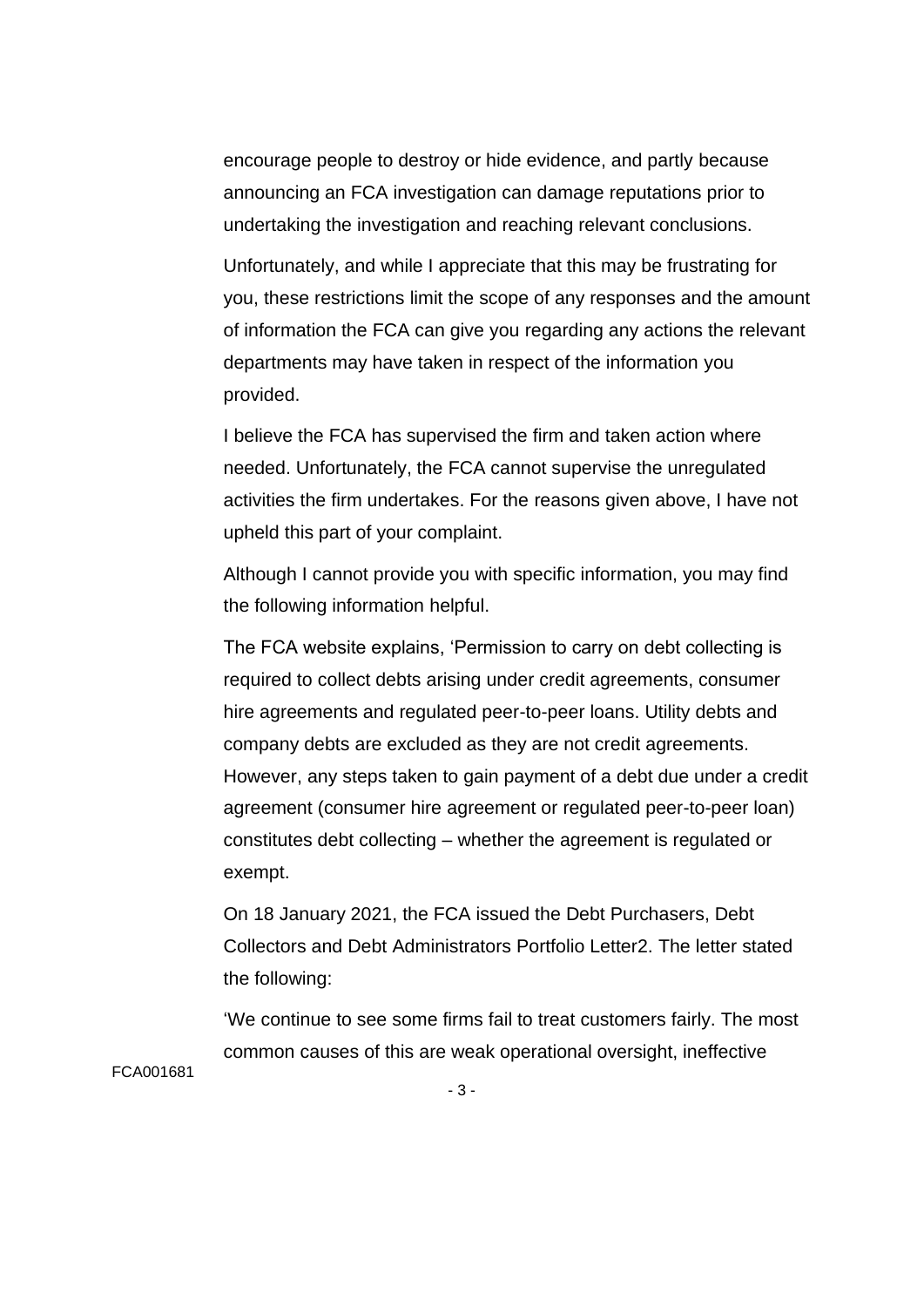encourage people to destroy or hide evidence, and partly because announcing an FCA investigation can damage reputations prior to undertaking the investigation and reaching relevant conclusions.

Unfortunately, and while I appreciate that this may be frustrating for you, these restrictions limit the scope of any responses and the amount of information the FCA can give you regarding any actions the relevant departments may have taken in respect of the information you provided.

I believe the FCA has supervised the firm and taken action where needed. Unfortunately, the FCA cannot supervise the unregulated activities the firm undertakes. For the reasons given above, I have not upheld this part of your complaint.

Although I cannot provide you with specific information, you may find the following information helpful.

The FCA website explains, 'Permission to carry on debt collecting is required to collect debts arising under credit agreements, consumer hire agreements and regulated peer-to-peer loans. Utility debts and company debts are excluded as they are not credit agreements. However, any steps taken to gain payment of a debt due under a credit agreement (consumer hire agreement or regulated peer-to-peer loan) constitutes debt collecting – whether the agreement is regulated or exempt.

On 18 January 2021, the FCA issued the Debt Purchasers, Debt Collectors and Debt Administrators Portfolio Letter2. The letter stated the following:

'We continue to see some firms fail to treat customers fairly. The most common causes of this are weak operational oversight, ineffective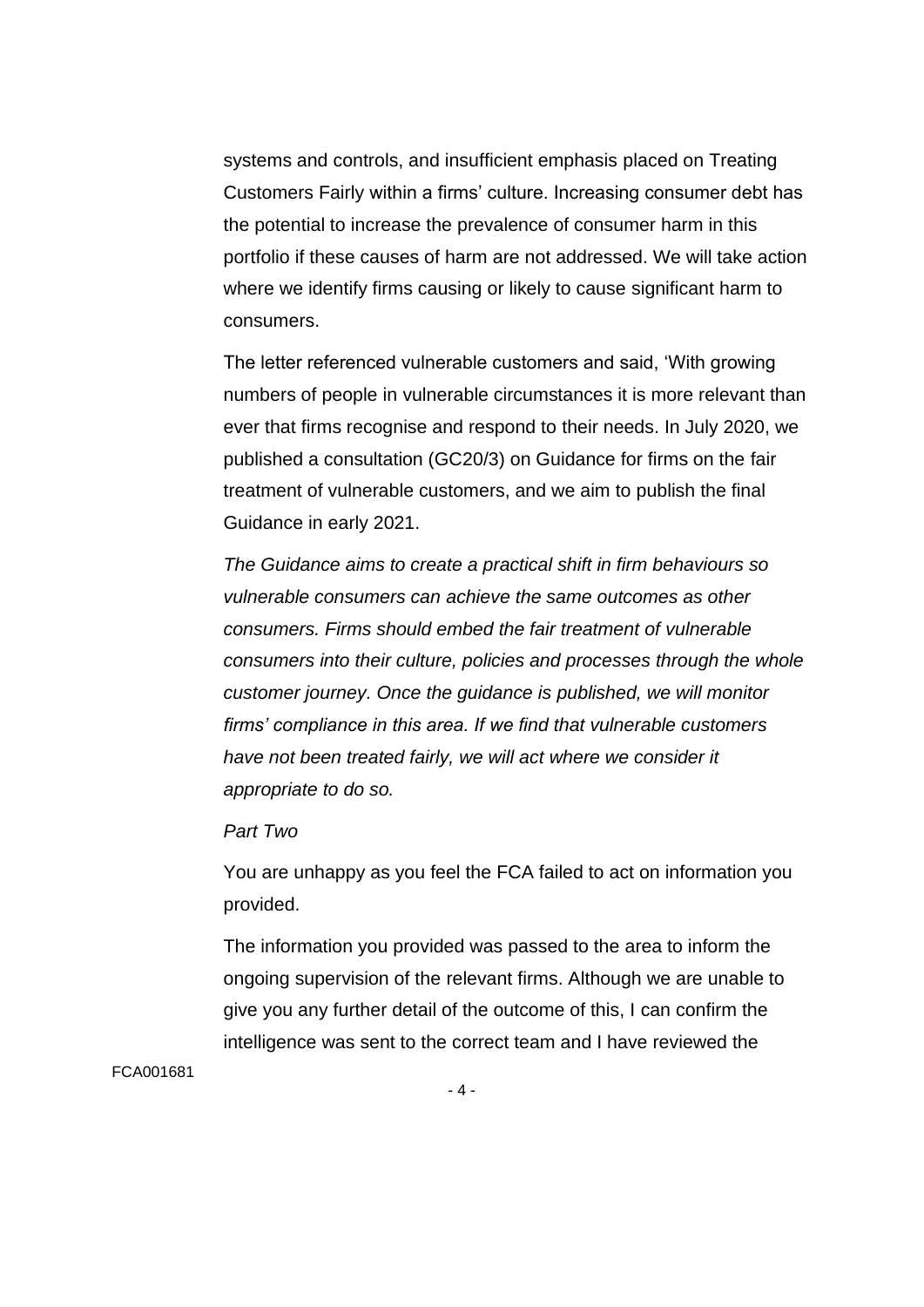systems and controls, and insufficient emphasis placed on Treating Customers Fairly within a firms' culture. Increasing consumer debt has the potential to increase the prevalence of consumer harm in this portfolio if these causes of harm are not addressed. We will take action where we identify firms causing or likely to cause significant harm to consumers.

The letter referenced vulnerable customers and said, 'With growing numbers of people in vulnerable circumstances it is more relevant than ever that firms recognise and respond to their needs. In July 2020, we published a consultation (GC20/3) on Guidance for firms on the fair treatment of vulnerable customers, and we aim to publish the final Guidance in early 2021.

*The Guidance aims to create a practical shift in firm behaviours so vulnerable consumers can achieve the same outcomes as other consumers. Firms should embed the fair treatment of vulnerable consumers into their culture, policies and processes through the whole customer journey. Once the guidance is published, we will monitor firms' compliance in this area. If we find that vulnerable customers have not been treated fairly, we will act where we consider it appropriate to do so.*

*Part Two*

You are unhappy as you feel the FCA failed to act on information you provided.

The information you provided was passed to the area to inform the ongoing supervision of the relevant firms. Although we are unable to give you any further detail of the outcome of this, I can confirm the intelligence was sent to the correct team and I have reviewed the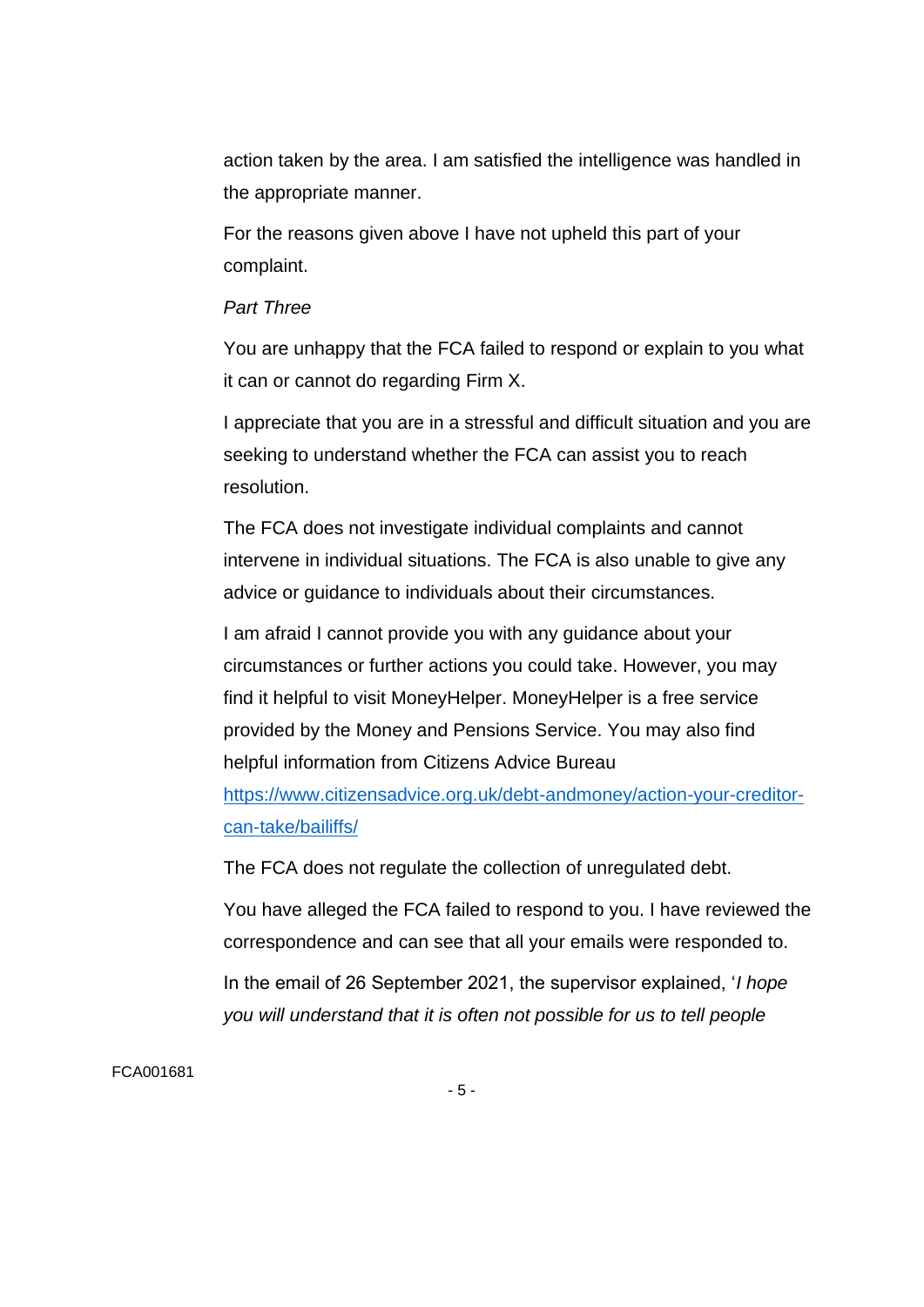action taken by the area. I am satisfied the intelligence was handled in the appropriate manner.

For the reasons given above I have not upheld this part of your complaint.

### *Part Three*

You are unhappy that the FCA failed to respond or explain to you what it can or cannot do regarding Firm X.

I appreciate that you are in a stressful and difficult situation and you are seeking to understand whether the FCA can assist you to reach resolution.

The FCA does not investigate individual complaints and cannot intervene in individual situations. The FCA is also unable to give any advice or guidance to individuals about their circumstances.

I am afraid I cannot provide you with any guidance about your circumstances or further actions you could take. However, you may find it helpful to visit MoneyHelper. MoneyHelper is a free service provided by the Money and Pensions Service. You may also find helpful information from Citizens Advice Bureau [https://www.citizensadvice.org.uk/debt-andmoney/action-your-creditor](https://www.citizensadvice.org.uk/debt-andmoney/action-your-creditor-can-take/bailiffs/)[can-take/bailiffs/](https://www.citizensadvice.org.uk/debt-andmoney/action-your-creditor-can-take/bailiffs/)

The FCA does not regulate the collection of unregulated debt.

You have alleged the FCA failed to respond to you. I have reviewed the correspondence and can see that all your emails were responded to.

In the email of 26 September 2021, the supervisor explained, '*I hope you will understand that it is often not possible for us to tell people*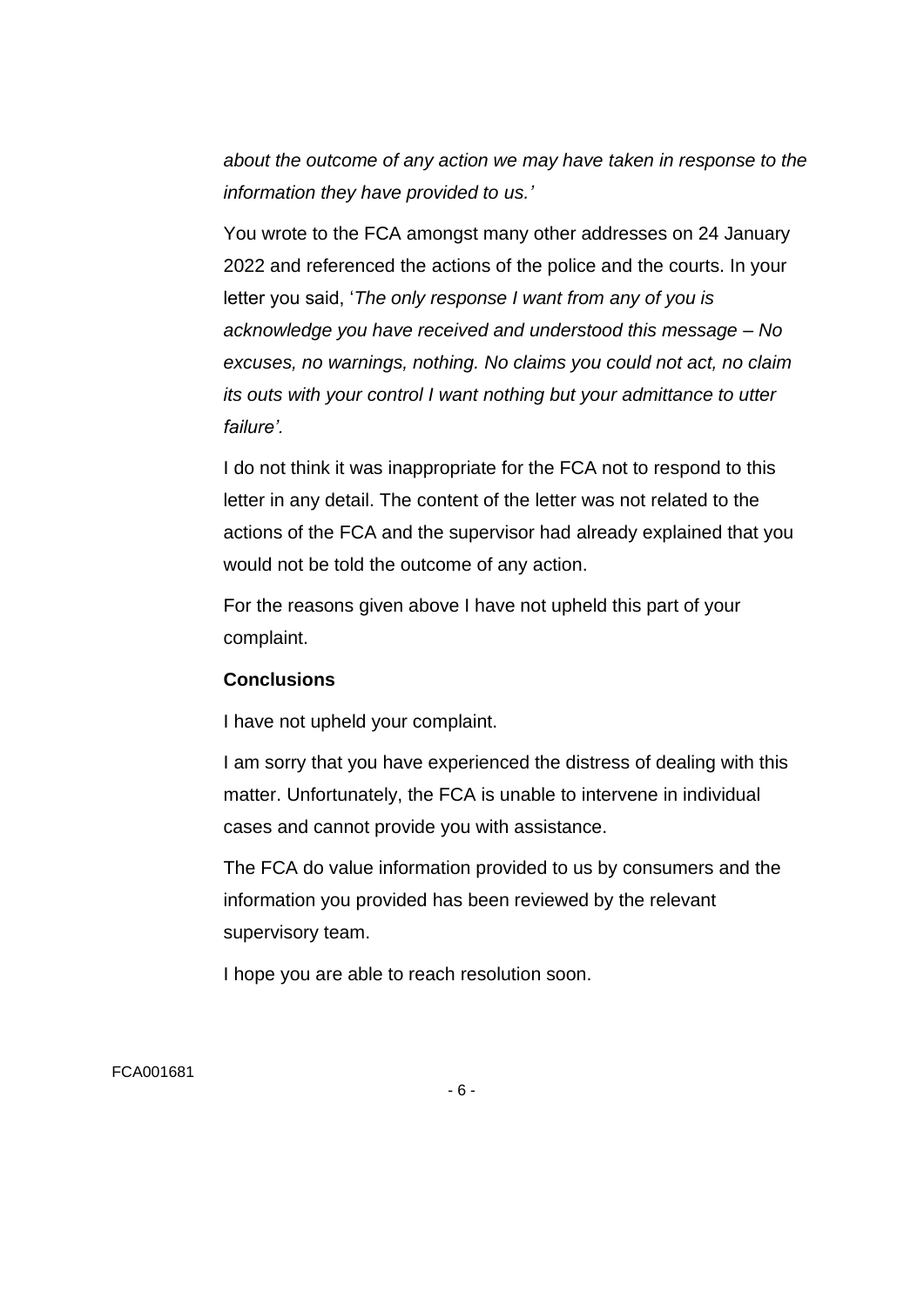*about the outcome of any action we may have taken in response to the information they have provided to us.'*

You wrote to the FCA amongst many other addresses on 24 January 2022 and referenced the actions of the police and the courts. In your letter you said, '*The only response I want from any of you is acknowledge you have received and understood this message – No excuses, no warnings, nothing. No claims you could not act, no claim its outs with your control I want nothing but your admittance to utter failure'.*

I do not think it was inappropriate for the FCA not to respond to this letter in any detail. The content of the letter was not related to the actions of the FCA and the supervisor had already explained that you would not be told the outcome of any action.

For the reasons given above I have not upheld this part of your complaint.

## **Conclusions**

I have not upheld your complaint.

I am sorry that you have experienced the distress of dealing with this matter. Unfortunately, the FCA is unable to intervene in individual cases and cannot provide you with assistance.

The FCA do value information provided to us by consumers and the information you provided has been reviewed by the relevant supervisory team.

I hope you are able to reach resolution soon.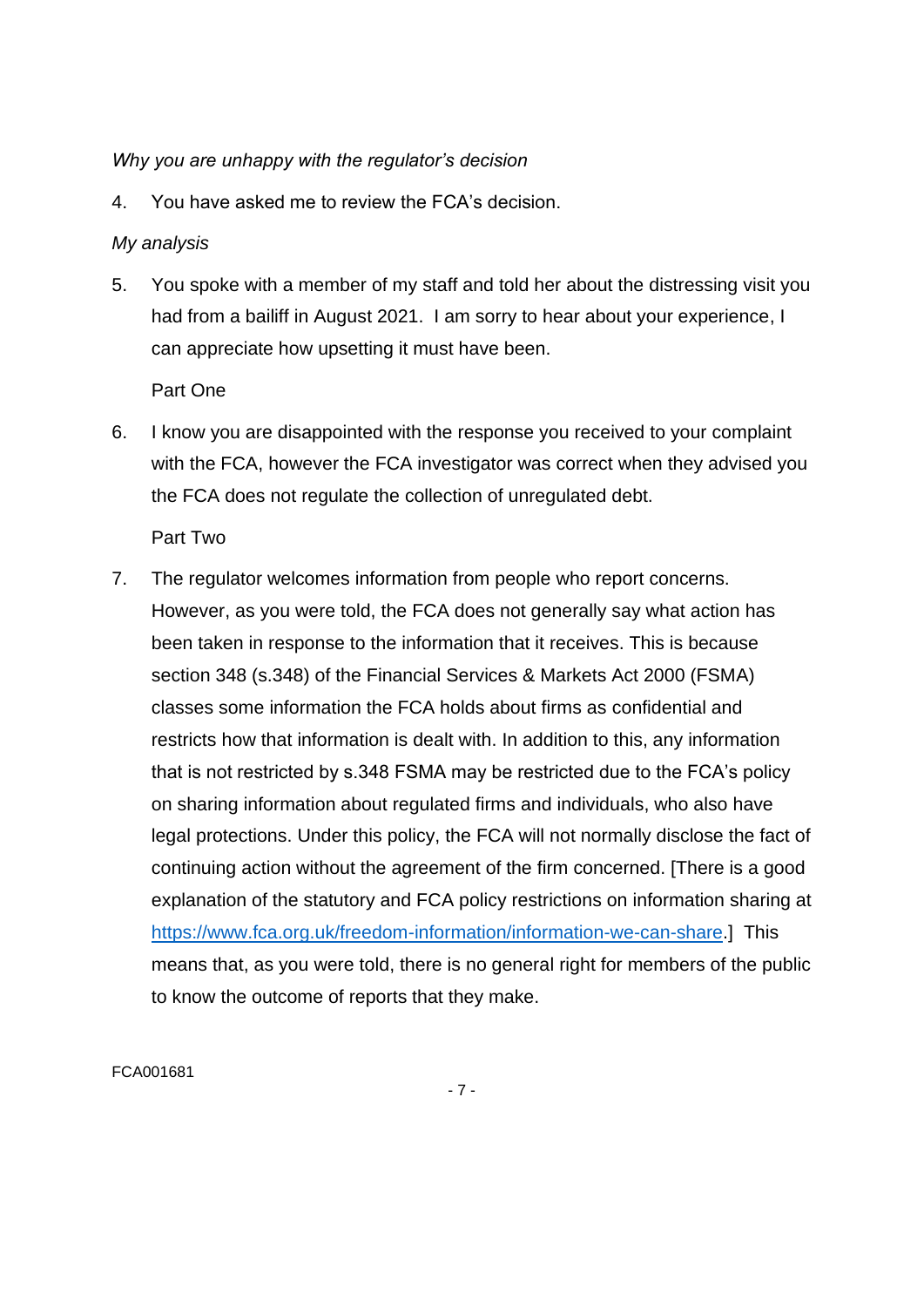## *Why you are unhappy with the regulator's decision*

4. You have asked me to review the FCA's decision.

# *My analysis*

5. You spoke with a member of my staff and told her about the distressing visit you had from a bailiff in August 2021. I am sorry to hear about your experience, I can appreciate how upsetting it must have been.

Part One

6. I know you are disappointed with the response you received to your complaint with the FCA, however the FCA investigator was correct when they advised you the FCA does not regulate the collection of unregulated debt.

Part Two

7. The regulator welcomes information from people who report concerns. However, as you were told, the FCA does not generally say what action has been taken in response to the information that it receives. This is because section 348 (s.348) of the Financial Services & Markets Act 2000 (FSMA) classes some information the FCA holds about firms as confidential and restricts how that information is dealt with. In addition to this, any information that is not restricted by s.348 FSMA may be restricted due to the FCA's policy on sharing information about regulated firms and individuals, who also have legal protections. Under this policy, the FCA will not normally disclose the fact of continuing action without the agreement of the firm concerned. [There is a good explanation of the statutory and FCA policy restrictions on information sharing at [https://www.fca.org.uk/freedom-information/information-we-can-share.](https://www.fca.org.uk/freedom-information/information-we-can-share)] This means that, as you were told, there is no general right for members of the public to know the outcome of reports that they make.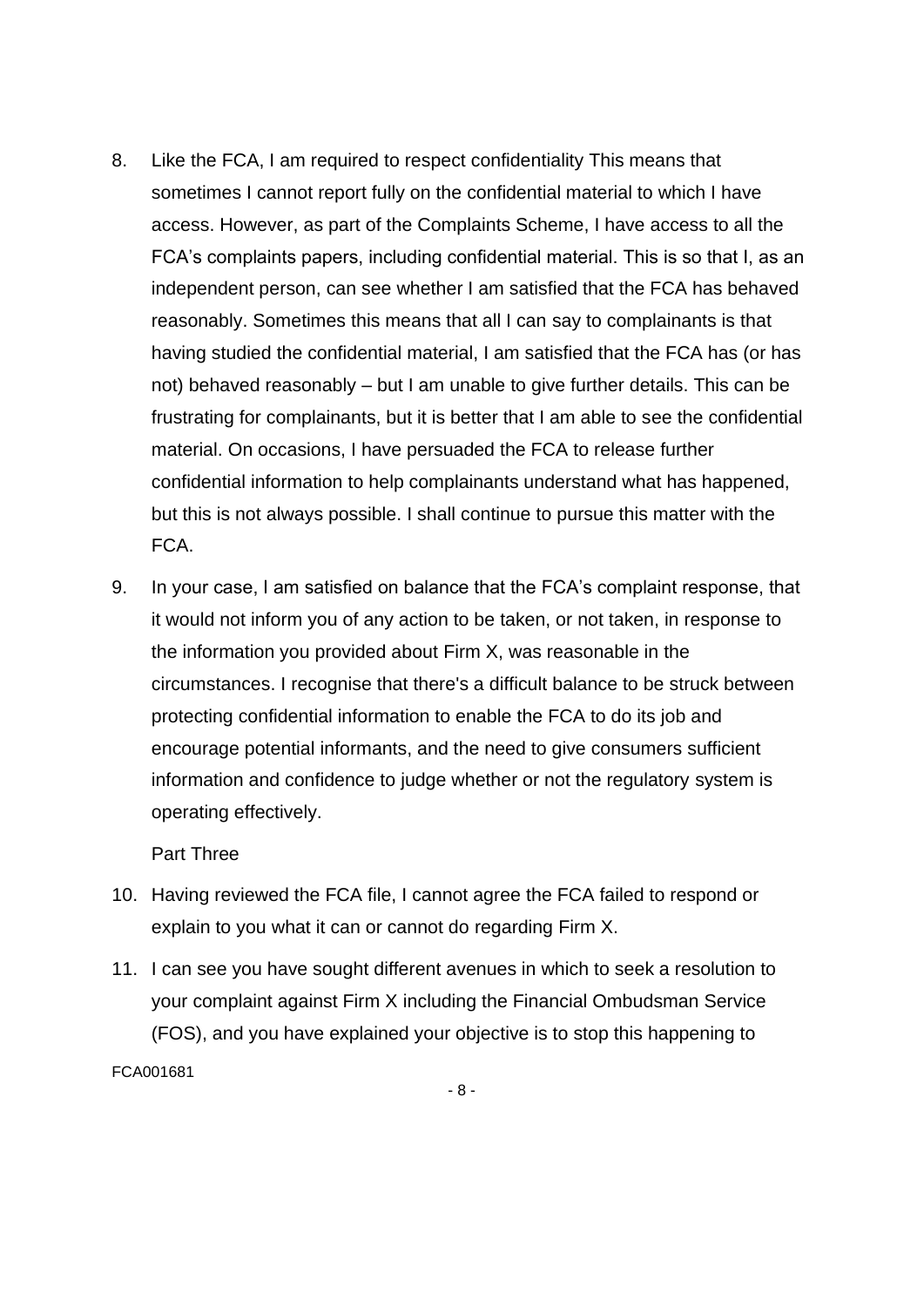- 8. Like the FCA, I am required to respect confidentiality This means that sometimes I cannot report fully on the confidential material to which I have access. However, as part of the Complaints Scheme, I have access to all the FCA's complaints papers, including confidential material. This is so that I, as an independent person, can see whether I am satisfied that the FCA has behaved reasonably. Sometimes this means that all I can say to complainants is that having studied the confidential material, I am satisfied that the FCA has (or has not) behaved reasonably – but I am unable to give further details. This can be frustrating for complainants, but it is better that I am able to see the confidential material. On occasions, I have persuaded the FCA to release further confidential information to help complainants understand what has happened, but this is not always possible. I shall continue to pursue this matter with the FCA.
- 9. In your case, I am satisfied on balance that the FCA's complaint response, that it would not inform you of any action to be taken, or not taken, in response to the information you provided about Firm X, was reasonable in the circumstances. I recognise that there's a difficult balance to be struck between protecting confidential information to enable the FCA to do its job and encourage potential informants, and the need to give consumers sufficient information and confidence to judge whether or not the regulatory system is operating effectively.

Part Three

- 10. Having reviewed the FCA file, I cannot agree the FCA failed to respond or explain to you what it can or cannot do regarding Firm X.
- FCA001681 11. I can see you have sought different avenues in which to seek a resolution to your complaint against Firm X including the Financial Ombudsman Service (FOS), and you have explained your objective is to stop this happening to